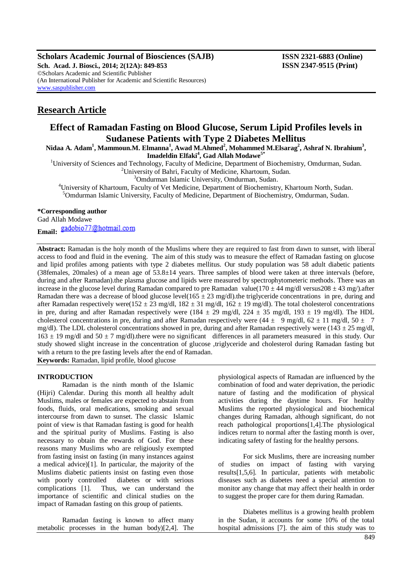**Scholars Academic Journal of Biosciences (SAJB) ISSN 2321-6883 (Online)**

**Sch. Acad. J. Biosci., 2014; 2(12A): 849-853 ISSN 2347-9515 (Print)** ©Scholars Academic and Scientific Publisher (An International Publisher for Academic and Scientific Resources) [www.saspublisher.com](http://www.saspublisher.com/)

# **Research Article**

# **Effect of Ramadan Fasting on Blood Glucose, Serum Lipid Profiles levels in Sudanese Patients with Type 2 Diabetes Mellitus**

**Nidaa A. Adam<sup>1</sup> , Mammoun.M. Elmanna<sup>1</sup> , Awad M.Ahmed<sup>2</sup> , Mohammed M.Elsarag<sup>2</sup> , Ashraf N. Ibrahium<sup>3</sup> , Imadeldin Elfaki<sup>4</sup> , Gad Allah Modawe5\***

<sup>1</sup>University of Sciences and Technology, Faculty of Medicine, Department of Biochemistry, Omdurman, Sudan.

<sup>2</sup>University of Bahri, Faculty of Medicine, Khartoum, Sudan.

<sup>3</sup>Omdurman Islamic University, Omdurman, Sudan.

<sup>4</sup>University of Khartoum, Faculty of Vet Medicine, Department of Biochemistry, Khartoum North, Sudan. <sup>5</sup>Omdurman Islamic University, Faculty of Medicine, Department of Biochemistry, Omdurman, Sudan.

# **\*Corresponding author**

Gad Allah Modawe

Email: gadobio77@hotmail.com

**Abstract:** Ramadan is the holy month of the Muslims where they are required to fast from dawn to sunset, with liberal access to food and fluid in the evening.The aim of this study was to measure the effect of Ramadan fasting on glucose and lipid profiles among patients with type 2 diabetes mellitus. Our study population was 58 adult diabetic patients (38females, 20males) of a mean age of 53.8±14 years. Three samples of blood were taken at three intervals (before, during and after Ramadan).the plasma glucose and lipids were measured by spectrophytometeric methods. There was an increase in the glucose level during Ramadan compared to pre Ramadan value( $170 \pm 44$  mg/dl versus208  $\pm 43$  mg/).after Ramadan there was a decrease of blood glucose level( $165 \pm 23$  mg/dl).the triglyceride concentrations in pre, during and after Ramadan respectively were( $152 \pm 23$  mg/dl,  $182 \pm 31$  mg/dl,  $162 \pm 19$  mg/dl). The total cholesterol concentrations in pre, during and after Ramadan respectively were (184  $\pm$  29 mg/dl, 224  $\pm$  35 mg/dl, 193  $\pm$  19 mg/dl). The HDL cholesterol concentrations in pre, during and after Ramadan respectively were  $(44 \pm 9 \text{ mg/dl}, 62 \pm 11 \text{ mg/dl}, 50 \pm 7 \text{ g})$ mg/dl). The LDL cholesterol concentrations showed in pre, during and after Ramadan respectively were (143  $\pm$  25 mg/dl,  $163 \pm 19$  mg/dl and  $50 \pm 7$  mg/dl).there were no significant differences in all parameters measured in this study. Our study showed slight increase in the concentration of glucose ,triglyceride and cholesterol during Ramadan fasting but with a return to the pre fasting levels after the end of Ramadan. **Keywords:** Ramadan, lipid profile, blood glucose

## **INTRODUCTION**

Ramadan is the ninth month of the Islamic (Hijri) Calendar. During this month all healthy adult Muslims, males or females are expected to abstain from foods, fluids, oral medications, smoking and sexual intercourse from dawn to sunset. The classic Islamic point of view is that Ramadan fasting is good for health and the spiritual purity of Muslims. Fasting is also necessary to obtain the rewards of God. For these reasons many Muslims who are religiously exempted from fasting insist on fasting (in many instances against a medical advice)[1]. In particular, the majority of the Muslims diabetic patients insist on fasting even those with poorly controlled diabetes or with serious complications [1]. Thus, we can understand the importance of scientific and clinical studies on the impact of Ramadan fasting on this group of patients.

Ramadan fasting is known to affect many metabolic processes in the human body)[2,4]. The physiological aspects of Ramadan are influenced by the combination of food and water deprivation, the periodic nature of fasting and the modification of physical activities during the daytime hours. For healthy Muslims the reported physiological and biochemical changes during Ramadan, although significant, do not reach pathological proportions[1,4].The physiological indices return to normal after the fasting month is over, indicating safety of fasting for the healthy persons.

For sick Muslims, there are increasing number of studies on impact of fasting with varying results[1,5,6]. In particular, patients with metabolic diseases such as diabetes need a special attention to monitor any change that may affect their health in order to suggest the proper care for them during Ramadan.

Diabetes mellitus is a growing health problem in the Sudan, it accounts for some 10% of the total hospital admissions [7]. the aim of this study was to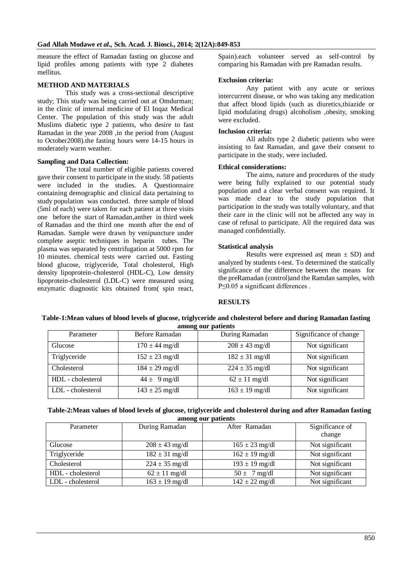measure the effect of Ramadan fasting on glucose and lipid profiles among patients with type 2 diabetes mellitus.

## **METHOD AND MATERIALS**

This study was a cross-sectional descriptive study; This study was being carried out at Omdurman; in the clinic of internal medicine of El Inqaz Medical Center. The population of this study was the adult Muslims diabetic type 2 patients, who desire to fast Ramadan in the year 2008 ,in the period from (August to October2008).the fasting hours were 14-15 hours in moderately warm weather.

## **Sampling and Data Collection:**

The total number of eligible patients covered gave their consent to participate in the study. 58 patients were included in the studies. A Questionnaire containing demographic and clinical data pertaining to study population was conducted. three sample of blood (5ml of each) were taken for each patient at three visits one before the start of Ramadan,anther in third week of Ramadan and the third one month after the end of Ramadan. Sample were drawn by venipuncture under complete aseptic techniques in heparin tubes. The plasma was separated by centrifugation at 5000 rpm for 10 minutes. chemical tests were carried out. Fasting blood glucose, triglyceride, Total cholesterol, High density lipoprotein-cholesterol (HDL-C), Low density lipoprotein-cholesterol (LDL-C) were measured using enzymatic diagnostic kits obtained from( spin react,

Spain).each volunteer served as self-control by comparing his Ramadan with pre Ramadan results.

## **Exclusion criteria:**

Any patient with any acute or serious intercurrent disease, or who was taking any medication that affect blood lipids (such as diuretics,thiazide or lipid modulating drugs) alcoholism ,obesity, smoking were excluded.

#### **Inclusion criteria:**

All adults type 2 diabetic patients who were insisting to fast Ramadan, and gave their consent to participate in the study, were included.

#### **Ethical considerations:**

The aims, nature and procedures of the study were being fully explained to our potential study population and a clear verbal consent was required. It was made clear to the study population that participation in the study was totally voluntary, and that their care in the clinic will not be affected any way in case of refusal to participate. All the required data was managed confidentially.

## **Statistical analysis**

Results were expressed as  $(\text{mean} \pm SD)$  and analyzed by students t-test. To determined the statically significance of the difference between the means for the preRamadan (control)and the Ramdan samples, with P≤0.05 a significant differences.

## **RESULTS**

#### **Table-1:Mean values of blood levels of glucose, triglyceride and cholesterol before and during Ramadan fasting among our patients**

| Parameter         | Before Ramadan     | During Ramadan     | Significance of change |
|-------------------|--------------------|--------------------|------------------------|
| Glucose           | $170 \pm 44$ mg/dl | $208 \pm 43$ mg/dl | Not significant        |
| Triglyceride      | $152 \pm 23$ mg/dl | $182 \pm 31$ mg/dl | Not significant        |
| Cholesterol       | $184 \pm 29$ mg/dl | $224 \pm 35$ mg/dl | Not significant        |
| HDL - cholesterol | $44 \pm 9$ mg/dl   | $62 \pm 11$ mg/dl  | Not significant        |
| LDL - cholesterol | $143 \pm 25$ mg/dl | $163 \pm 19$ mg/dl | Not significant        |

#### **Table-2:Mean values of blood levels of glucose, triglyceride and cholesterol during and after Ramadan fasting among our patients**

| Parameter         | During Ramadan     | After Ramadan              | Significance of<br>change |
|-------------------|--------------------|----------------------------|---------------------------|
| Glucose           | $208 \pm 43$ mg/dl | $165 \pm 23$ mg/dl         | Not significant           |
| Triglyceride      | $182 \pm 31$ mg/dl | $162 \pm 19$ mg/dl         | Not significant           |
| Cholesterol       | $224 \pm 35$ mg/dl | $193 \pm 19$ mg/dl         | Not significant           |
| HDL - cholesterol | $62 \pm 11$ mg/dl  | $50 \pm 7$ mg/dl           | Not significant           |
| LDL - cholesterol | $163 \pm 19$ mg/dl | $142 \pm 22 \text{ mg/dl}$ | Not significant           |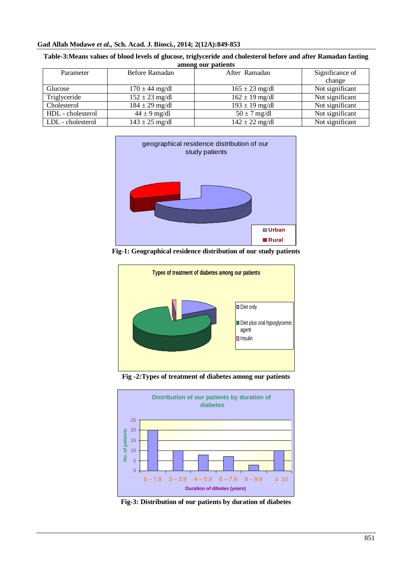## **Gad Allah Modawe** *et al.,* **Sch. Acad. J. Biosci., 2014; 2(12A):849-853**

| Table-3: Means values of blood levels of glucose, triglyceride and cholesterol before and after Ramadan fasting |
|-----------------------------------------------------------------------------------------------------------------|
| among our patients                                                                                              |

| Parameter         | Before Ramadan     | After Ramadan              | Significance of |
|-------------------|--------------------|----------------------------|-----------------|
|                   |                    |                            | change          |
| Glucose           | $170 \pm 44$ mg/dl | $165 \pm 23$ mg/dl         | Not significant |
| Triglyceride      | $152 \pm 23$ mg/dl | $162 \pm 19$ mg/dl         | Not significant |
| Cholesterol       | $184 \pm 29$ mg/dl | $193 \pm 19$ mg/dl         | Not significant |
| HDL - cholesterol | $44 \pm 9$ mg/dl   | $50 \pm 7$ mg/dl           | Not significant |
| LDL - cholesterol | $143 \pm 25$ mg/dl | $142 \pm 22 \text{ mg/dl}$ | Not significant |







**Fig -2:Types of treatment of diabetes among our patients**



**Fig-3: Distribution of our patients by duration of diabetes**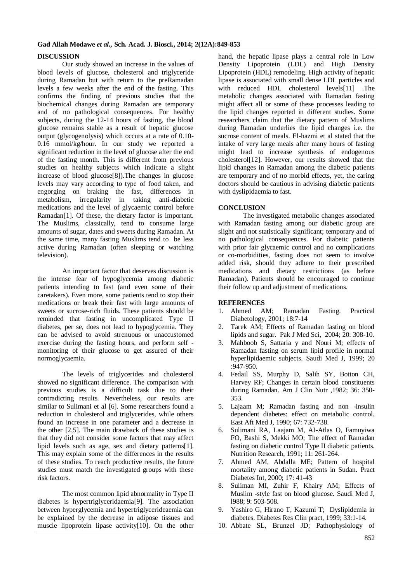# **DISCUSSION**

Our study showed an increase in the values of blood levels of glucose, cholesterol and triglyceride during Ramadan but with return to the preRamadan levels a few weeks after the end of the fasting. This confirms the finding of previous studies that the biochemical changes during Ramadan are temporary and of no pathological consequences. For healthy subjects, during the 12-14 hours of fasting, the blood glucose remains stable as a result of hepatic glucose output (glycogenolysis) which occurs at a rate of 0.10- 0.16 mmol/kg/hour. In our study we reported a significant reduction in the level of glucose after the end of the fasting month. This is different from previous studies on healthy subjects which indicate a slight increase of blood glucose[8]).The changes in glucose levels may vary according to type of food taken, and engorging on braking the fast, differences in metabolism, irregularity in taking anti-diabetic medications and the level of glycaemic control before Ramadan<sup>[1]</sup>. Of these, the dietary factor is important. The Muslims, classically, tend to consume large amounts of sugar, dates and sweets during Ramadan. At the same time, many fasting Muslims tend to be less active during Ramadan (often sleeping or watching television).

An important factor that deserves discussion is the intense fear of hypoglycemia among diabetic patients intending to fast (and even some of their caretakers). Even more, some patients tend to stop their medications or break their fast with large amounts of sweets or sucrose-rich fluids. These patients should be reminded that fasting in uncomplicated Type II diabetes, per se, does not lead to hypoglycemia. They can be advised to avoid strenuous or unaccustomed exercise during the fasting hours, and perform self monitoring of their glucose to get assured of their normoglycaemia.

The levels of triglycerides and cholesterol showed no significant difference. The comparison with previous studies is a difficult task due to their contradicting results. Nevertheless, our results are similar to Sulimani et al [6]. Some researchers found a reduction in cholesterol and triglycerides, while others found an increase in one parameter and a decrease in the other [2,5]. The main drawback of these studies is that they did not consider some factors that may affect lipid levels such as age, sex and dietary patterns[1]. This may explain some of the differences in the results of these studies. To reach productive results, the future studies must match the investigated groups with these risk factors.

The most common lipid abnormality in Type II diabetes is hypertriglyceridaemia[9]. The association between hyperglycemia and hypertriglycerideaemia can be explained by the decrease in adipose tissues and muscle lipoprotein lipase activity[10]. On the other

hand, the hepatic lipase plays a central role in Low Density Lipoprotein (LDL) and High Density Lipoprotein (HDL) remodeling. High activity of hepatic lipase is associated with small dense LDL particles and with reduced HDL cholesterol levels[11] .The metabolic changes associated with Ramadan fasting might affect all or some of these processes leading to the lipid changes reported in different studies. Some researchers claim that the dietary pattern of Muslims during Ramadan underlies the lipid changes i.e. the sucrose content of meals. El-hazmi et al stated that the intake of very large meals after many hours of fasting might lead to increase synthesis of endogenous cholesterol[12]. However, our results showed that the lipid changes in Ramadan among the diabetic patients are temporary and of no morbid effects, yet, the caring doctors should be cautious in advising diabetic patients with dyslipidaemia to fast.

# **CONCLUSION**

The investigated metabolic changes associated with Ramadan fasting among our diabetic group are slight and not statistically significant; temporary and of no pathological consequences. For diabetic patients with prior fair glycaemic control and no complications or co-morbidities, fasting does not seem to involve added risk, should they adhere to their prescribed medications and dietary restrictions (as before Ramadan). Patients should be encouraged to continue their follow up and adjustment of medications.

## **REFERENCES**

- 1. Ahmed AM; Ramadan Fasting. Practical Diabetology, 2001; 18:7-14
- 2. Tarek AM; Effects of Ramadan fasting on blood lipids and sugar. Pak J Med Sci, 2004; 20: 308-10.
- 3. Mahboob S, Sattaria y and Nouri M; effects of Ramadan fasting on serum lipid profile in normal hyperlipidaemic subjects. Saudi Med J, 1999; 20 :947-950.
- 4. Fedail SS, Murphy D, Salih SY, Botton CH, Harvey RF; Changes in certain blood constituents during Ramadan. Am J Clin Nutr ,1982; 36: 350- 353.
- 5. Lajaam M; Ramadan fasting and non -insulin dependent diabetes: effect on metabolic control. East Aft Med J, 1990; 67: 732-738.
- 6. Sulimani RA, Laajam M, AI-Atlas O, Famuyiwa FO, Bashi S, Mekki MO; The effect of Ramadan fasting on diabetic control Type II diabetic patients. Nutrition Research, 1991; 11: 261-264.
- 7. Ahmed AM, Abdalla ME; Pattern of hospital mortality among diabetic patients in Sudan. Pract Diabetes Int, 2000; 17: 41-43
- 8. Suliman MI, Zuhir F, Khairy AM; Effects of Muslim -style fast on blood glucose. Saudi Med J, l988; 9: 503-508.
- 9. Yashiro G, Hirano T, Kazumi T; Dyslipidemia in diabetes. Diabetes Res Clin pract, 1999; 33:1-14.
- 10. Abbate SL, Brunzel JD; Pathophysiology of